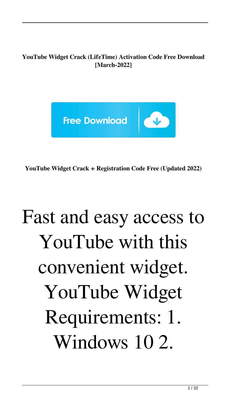#### **YouTube Widget Crack (LifeTime) Activation Code Free Download [March-2022]**



**YouTube Widget Crack + Registration Code Free (Updated 2022)**

# Fast and easy access to YouTube with this convenient widget. YouTube Widget Requirements: 1. Windows 10 2.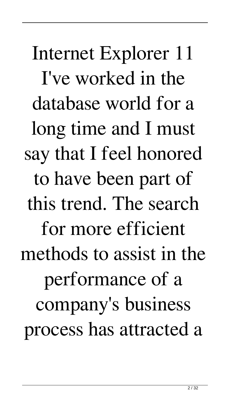Internet Explorer 11 I've worked in the database world for a long time and I must say that I feel honored to have been part of this trend. The search for more efficient methods to assist in the performance of a company's business process has attracted a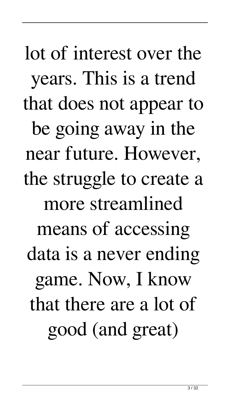lot of interest over the years. This is a trend that does not appear to be going away in the near future. However, the struggle to create a more streamlined means of accessing data is a never ending game. Now, I know that there are a lot of good (and great)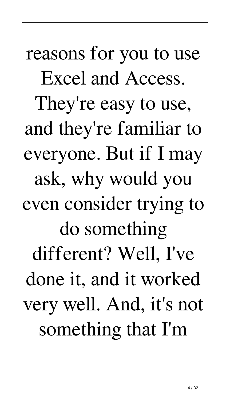reasons for you to use Excel and Access. They're easy to use, and they're familiar to everyone. But if I may ask, why would you even consider trying to do something different? Well, I've done it, and it worked very well. And, it's not something that I'm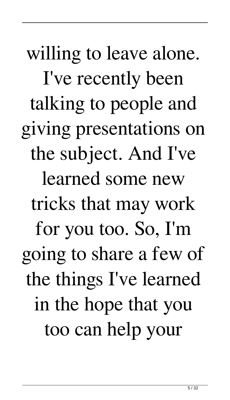willing to leave alone. I've recently been talking to people and giving presentations on the subject. And I've learned some new tricks that may work for you too. So, I'm going to share a few of the things I've learned in the hope that you too can help your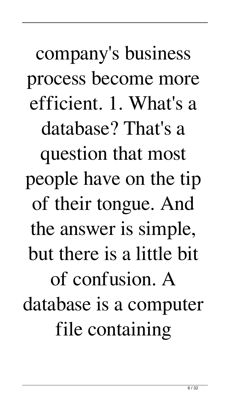company's business process become more efficient. 1. What's a database? That's a question that most people have on the tip of their tongue. And the answer is simple, but there is a little bit of confusion. A database is a computer file containing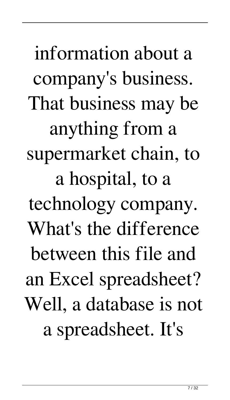information about a company's business. That business may be anything from a supermarket chain, to a hospital, to a technology company. What's the difference between this file and an Excel spreadsheet? Well, a database is not a spreadsheet. It's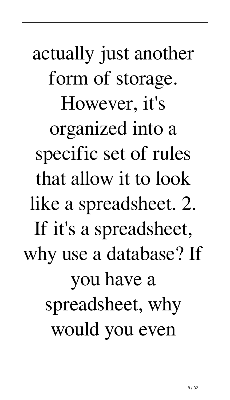actually just another form of storage. However, it's organized into a specific set of rules that allow it to look like a spreadsheet. 2. If it's a spreadsheet, why use a database? If you have a spreadsheet, why would you even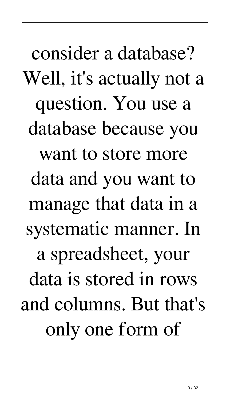consider a database? Well, it's actually not a question. You use a database because you want to store more data and you want to manage that data in a systematic manner. In a spreadsheet, your data is stored in rows and columns. But that's only one form of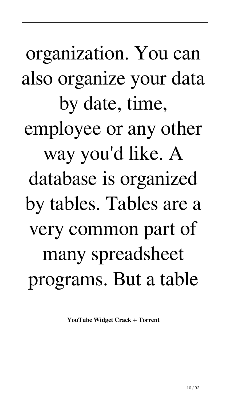organization. You can also organize your data by date, time, employee or any other way you'd like. A database is organized by tables. Tables are a very common part of many spreadsheet programs. But a table

**YouTube Widget Crack + Torrent**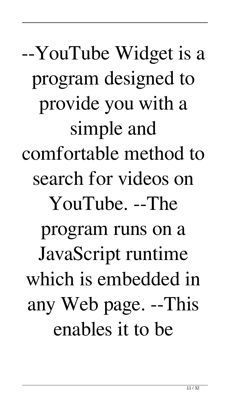--YouTube Widget is a program designed to provide you with a simple and comfortable method to search for videos on YouTube. --The program runs on a JavaScript runtime which is embedded in any Web page. --This enables it to be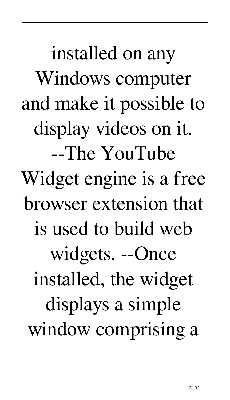installed on any Windows computer and make it possible to display videos on it. --The YouTube Widget engine is a free browser extension that is used to build web widgets. --Once installed, the widget displays a simple window comprising a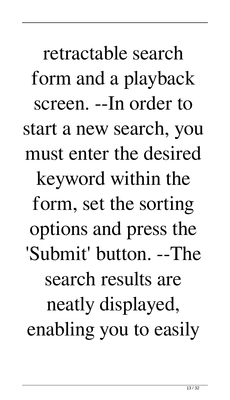retractable search form and a playback screen. --In order to start a new search, you must enter the desired keyword within the form, set the sorting options and press the 'Submit' button. --The search results are neatly displayed, enabling you to easily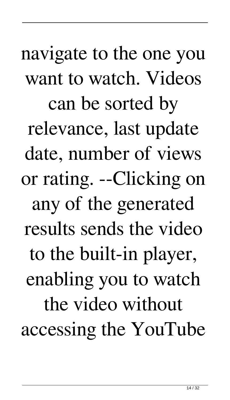navigate to the one you want to watch. Videos can be sorted by relevance, last update date, number of views or rating. --Clicking on any of the generated results sends the video to the built-in player, enabling you to watch the video without accessing the YouTube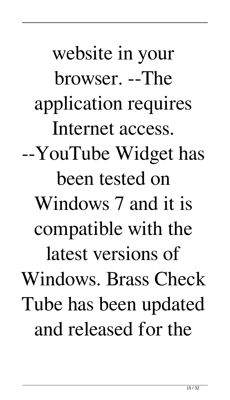website in your browser. --The application requires Internet access. --YouTube Widget has been tested on Windows 7 and it is compatible with the latest versions of Windows. Brass Check Tube has been updated and released for the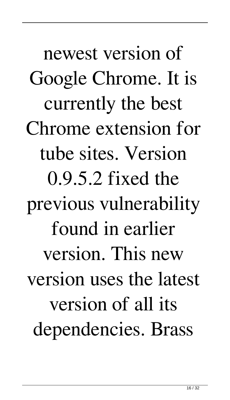newest version of Google Chrome. It is currently the best Chrome extension for tube sites. Version 0.9.5.2 fixed the previous vulnerability found in earlier version. This new version uses the latest version of all its dependencies. Brass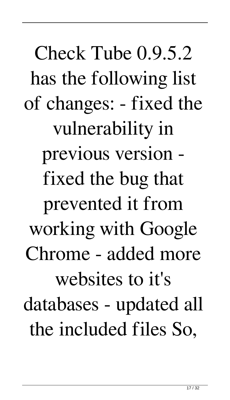Check Tube 0.9.5.2 has the following list of changes: - fixed the vulnerability in previous version fixed the bug that prevented it from working with Google Chrome - added more websites to it's databases - updated all the included files So,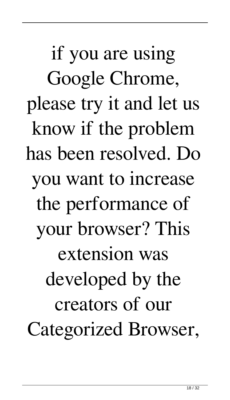if you are using Google Chrome, please try it and let us know if the problem has been resolved. Do you want to increase the performance of your browser? This extension was developed by the creators of our Categorized Browser,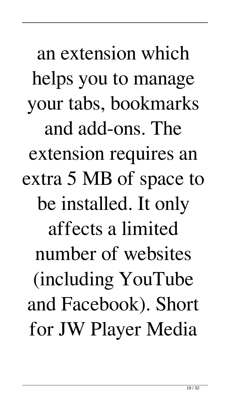an extension which helps you to manage your tabs, bookmarks and add-ons. The extension requires an extra 5 MB of space to be installed. It only affects a limited number of websites (including YouTube and Facebook). Short for JW Player Media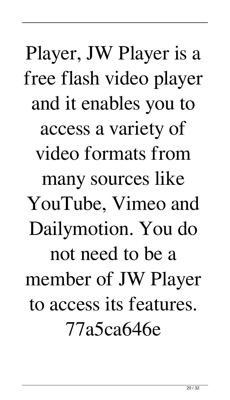Player, JW Player is a free flash video player and it enables you to access a variety of video formats from many sources like YouTube, Vimeo and Dailymotion. You do not need to be a member of JW Player to access its features. 77a5ca646e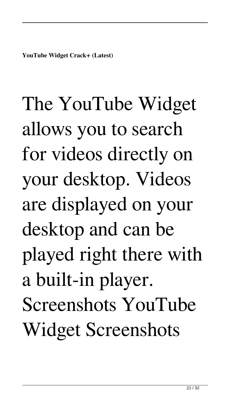# The YouTube Widget allows you to search for videos directly on your desktop. Videos are displayed on your desktop and can be played right there with a built-in player. Screenshots YouTube Widget Screenshots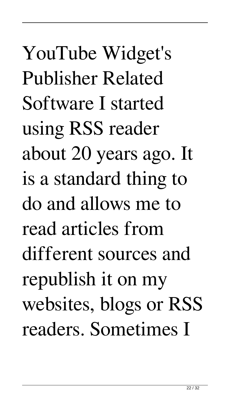YouTube Widget's Publisher Related Software I started using RSS reader about 20 years ago. It is a standard thing to do and allows me to read articles from different sources and republish it on my websites, blogs or RSS readers. Sometimes I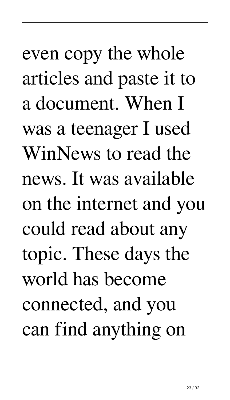even copy the whole articles and paste it to a document. When I was a teenager I used WinNews to read the news. It was available on the internet and you could read about any topic. These days the world has become connected, and you can find anything on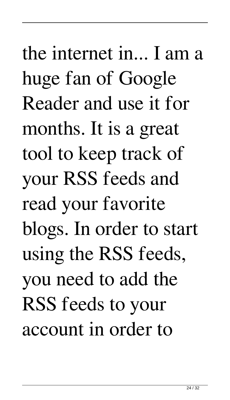the internet in... I am a huge fan of Google Reader and use it for months. It is a great tool to keep track of your RSS feeds and read your favorite blogs. In order to start using the RSS feeds, you need to add the RSS feeds to your account in order to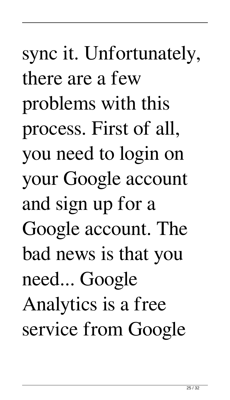sync it. Unfortunately, there are a few problems with this process. First of all, you need to login on your Google account and sign up for a Google account. The bad news is that you need... Google Analytics is a free service from Google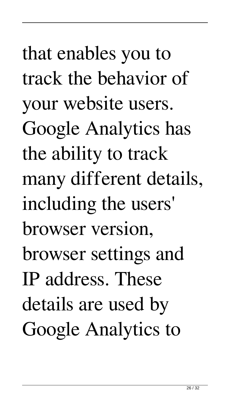that enables you to track the behavior of your website users. Google Analytics has the ability to track many different details, including the users' browser version, browser settings and IP address. These details are used by Google Analytics to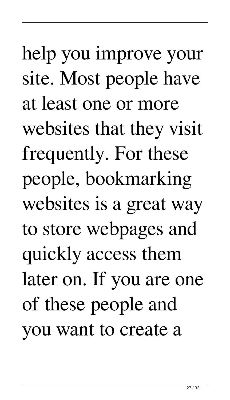help you improve your site. Most people have at least one or more websites that they visit frequently. For these people, bookmarking websites is a great way to store webpages and quickly access them later on. If you are one of these people and you want to create a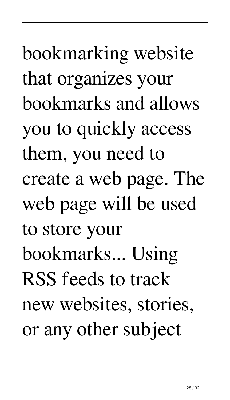new websites, stories, or any other subject 28 / 32

bookmarking website that organizes your bookmarks and allows you to quickly access them, you need to create a web page. The web page will be used to store your bookmarks... Using RSS feeds to track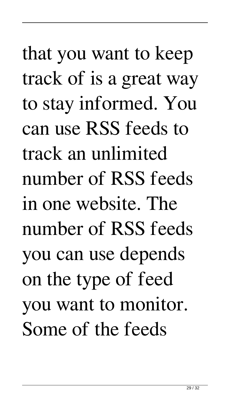that you want to keep track of is a great way to stay informed. You can use RSS feeds to track an unlimited number of RSS feeds in one website. The number of RSS feeds you can use depends on the type of feed you want to monitor. Some of the feeds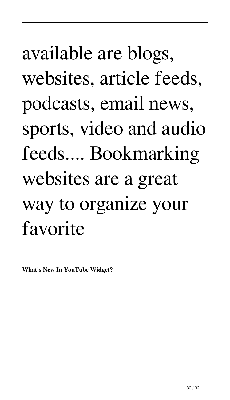# available are blogs, websites, article feeds, podcasts, email news, sports, video and audio feeds.... Bookmarking websites are a great way to organize your favorite

**What's New In YouTube Widget?**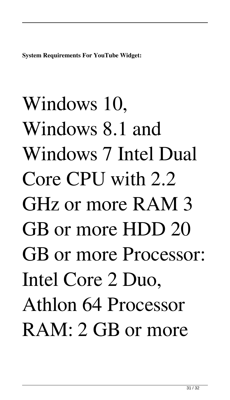**System Requirements For YouTube Widget:**

Windows 10, Windows 8.1 and Windows 7 Intel Dual Core CPU with 2.2 GHz or more RAM 3 GB or more HDD 20 GB or more Processor: Intel Core 2 Duo, Athlon 64 Processor RAM: 2 GB or more